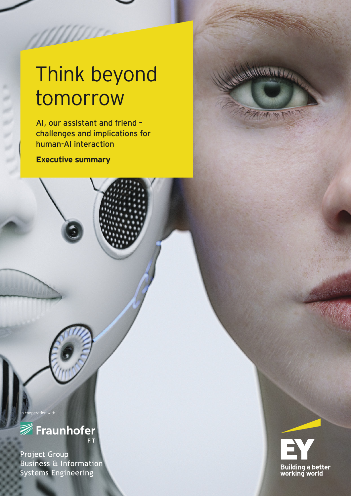# Think beyond tomorrow

AI, our assistant and friend – challenges and implications for human-AI interaction

**Executive summary**

**ANNO** 

WWW.



**<del>■</del>**Fraunhofer **FIT** 

peration with

Project Group **Business & Information Systems Engineering**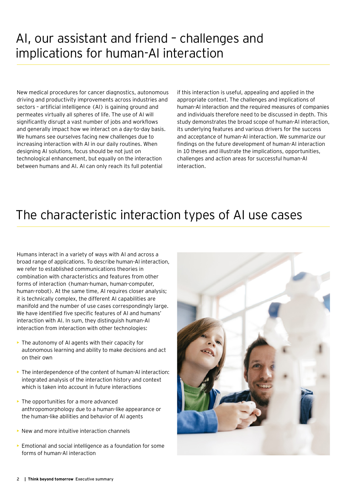### AI, our assistant and friend – challenges and implications for human-AI interaction

New medical procedures for cancer diagnostics, autonomous driving and productivity improvements across industries and sectors – artificial intelligence (AI) is gaining ground and permeates virtually all spheres of life. The use of AI will significantly disrupt a vast number of jobs and workflows and generally impact how we interact on a day-to-day basis. We humans see ourselves facing new challenges due to increasing interaction with AI in our daily routines. When designing AI solutions, focus should be not just on technological enhancement, but equally on the interaction between humans and AI. AI can only reach its full potential

if this interaction is useful, appealing and applied in the appropriate context. The challenges and implications of human-AI interaction and the required measures of companies and individuals therefore need to be discussed in depth. This study demonstrates the broad scope of human-AI interaction, its underlying features and various drivers for the success and acceptance of human-AI interaction. We summarize our findings on the future development of human-AI interaction in 10 theses and illustrate the implications, opportunities, challenges and action areas for successful human-AI interaction.

### The characteristic interaction types of AI use cases

Humans interact in a variety of ways with AI and across a broad range of applications. To describe human-AI interaction, we refer to established communications theories in combination with characteristics and features from other forms of interaction (human-human, human-computer, human-robot). At the same time, AI requires closer analysis; it is technically complex, the different AI capabilities are manifold and the number of use cases correspondingly large. We have identified five specific features of AI and humans' interaction with AI. In sum, they distinguish human-AI interaction from interaction with other technologies:

- $\triangleright$  The autonomy of AI agents with their capacity for autonomous learning and ability to make decisions and act on their own
- $\triangleright$  The interdependence of the content of human-AI interaction: integrated analysis of the interaction history and context which is taken into account in future interactions
- $\triangleright$  The opportunities for a more advanced anthropomorphology due to a human-like appearance or the human-like abilities and behavior of AI agents
- $\triangleright$  New and more intuitive interaction channels
- ► Emotional and social intelligence as a foundation for some forms of human-AI interaction

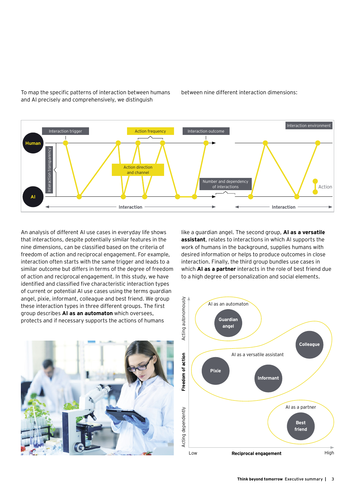

To map the specific patterns of interaction between humans and AI precisely and comprehensively, we distinguish

An analysis of different AI use cases in everyday life shows that interactions, despite potentially similar features in the nine dimensions, can be classified based on the criteria of freedom of action and reciprocal engagement. For example, interaction often starts with the same trigger and leads to a similar outcome but differs in terms of the degree of freedom of action and reciprocal engagement. In this study, we have identified and classified five characteristic interaction types of current or potential AI use cases using the terms guardian angel, pixie, informant, colleague and best friend. We group these interaction types in three different groups. The first

like a guardian angel. The second group, **AI as a versatile assistant**, relates to interactions in which AI supports the work of humans in the background, supplies humans with desired information or helps to produce outcomes in close interaction. Finally, the third group bundles use cases in which **AI as a partner** interacts in the role of best friend due to a high degree of personalization and social elements.





between nine different interaction dimensions: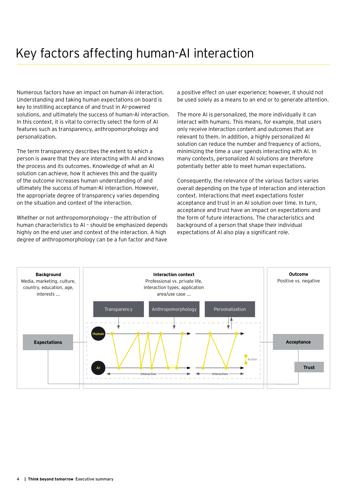Numerous factors have an impact on human-AI interaction. Understanding and taking human expectations on board is key to instilling acceptance of and trust in AI-powered solutions, and ultimately the success of human-AI interaction. In this context, it is vital to correctly select the form of AI features such as transparency, anthropomorphology and personalization.

The term transparency describes the extent to which a person is aware that they are interacting with AI and knows the process and its outcomes. Knowledge of what an AI solution can achieve, how it achieves this and the quality of the outcome increases human understanding of and ultimately the success of human-AI interaction. However, the appropriate degree of transparency varies depending on the situation and context of the interaction.

Whether or not anthropomorphology – the attribution of human characteristics to AI – should be emphasized depends highly on the end user and context of the interaction. A high degree of anthropomorphology can be a fun factor and have a positive effect on user experience; however, it should not be used solely as a means to an end or to generate attention.

The more AI is personalized, the more individually it can interact with humans. This means, for example, that users only receive interaction content and outcomes that are relevant to them. In addition, a highly personalized AI solution can reduce the number and frequency of actions, minimizing the time a user spends interacting with AI. In many contexts, personalized AI solutions are therefore potentially better able to meet human expectations.

Consequently, the relevance of the various factors varies overall depending on the type of interaction and interaction context. Interactions that meet expectations foster acceptance and trust in an AI solution over time. In turn, acceptance and trust have an impact on expectations and the form of future interactions. The characteristics and background of a person that shape their individual expectations of AI also play a significant role.

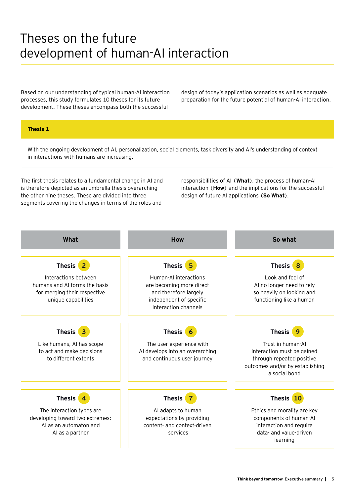### Theses on the future development of human-AI interaction

Based on our understanding of typical human-AI interaction processes, this study formulates 10 theses for its future development. These theses encompass both the successful

design of today's application scenarios as well as adequate preparation for the future potential of human-AI interaction.

### **Thesis 1**

With the ongoing development of AI, personalization, social elements, task diversity and AI's understanding of context in interactions with humans are increasing.

The first thesis relates to a fundamental change in AI and is therefore depicted as an umbrella thesis overarching the other nine theses. These are divided into three segments covering the changes in terms of the roles and

responsibilities of AI (**What**), the process of human-AI interaction (**How**) and the implications for the successful design of future AI applications (**So What**).

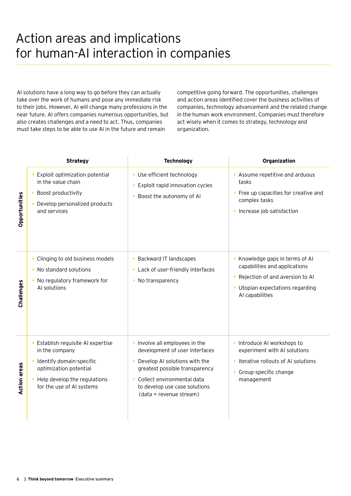### Action areas and implications for human-AI interaction in companies

AI solutions have a long way to go before they can actually take over the work of humans and pose any immediate risk to their jobs. However, AI will change many professions in the near future. AI offers companies numerous opportunities, but also creates challenges and a need to act. Thus, companies must take steps to be able to use AI in the future and remain

competitive going forward. The opportunities, challenges and action areas identified cover the business activities of companies, technology advancement and the related change in the human work environment. Companies must therefore act wisely when it comes to strategy, technology and organization.

|                     | <b>Strategy</b>                                                                                                                                                       | <b>Technology</b>                                                                                                                                                                                                           | Organization                                                                                                                                               |
|---------------------|-----------------------------------------------------------------------------------------------------------------------------------------------------------------------|-----------------------------------------------------------------------------------------------------------------------------------------------------------------------------------------------------------------------------|------------------------------------------------------------------------------------------------------------------------------------------------------------|
| Opportunities       | Exploit optimization potential<br>in the value chain<br>Boost productivity<br>Develop personalized products<br>and services                                           | ▶ Use efficient technology<br>$\triangleright$ Exploit rapid innovation cycles<br>Boost the autonomy of AI                                                                                                                  | Assume repetitive and arduous<br>tasks<br>Free up capacities for creative and<br>complex tasks<br>Increase job satisfaction                                |
| Challenges          | ▶ Clinging to old business models<br>$\triangleright$ No standard solutions<br>No regulatory framework for<br>AI solutions                                            | ▶ Backward IT landscapes<br>Lack of user-friendly interfaces<br>$\triangleright$ No transparency                                                                                                                            | ▶ Knowledge gaps in terms of AI<br>capabilities and applications<br>Rejection of and aversion to Al<br>• Utopian expectations regarding<br>AI capabilities |
| <b>Action areas</b> | Establish requisite AI expertise<br>in the company<br>Identify domain-specific<br>optimization potential<br>Help develop the regulations<br>for the use of AI systems | Involve all employees in the<br>development of user interfaces<br>Develop AI solutions with the<br>greatest possible transparency<br>Collect environmental data<br>to develop use case solutions<br>(data = revenue stream) | Introduce AI workshops to<br>experiment with AI solutions<br>Iterative rollouts of AI solutions<br>Group-specific change<br>management                     |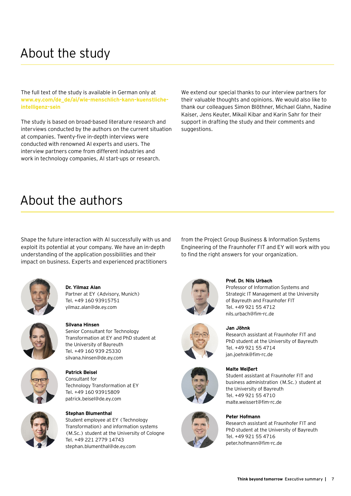## About the study

The full text of the study is available in German only at **[www.ey.com/de\\_de/ai/wie-menschlich-kann-kuenstliche](http://www.ey.com/de_de/ai/wie-menschlich-kann-kuenstliche-intelligenz-sein)[intelligenz-sein](http://www.ey.com/de_de/ai/wie-menschlich-kann-kuenstliche-intelligenz-sein)**

The study is based on broad-based literature research and interviews conducted by the authors on the current situation at companies. Twenty-five in-depth interviews were conducted with renowned AI experts and users. The interview partners come from different industries and work in technology companies, AI start-ups or research.

We extend our special thanks to our interview partners for their valuable thoughts and opinions. We would also like to thank our colleagues Simon Blöthner, Michael Glahn, Nadine Kaiser, Jens Keuter, Mikail Kibar and Karin Sahr for their support in drafting the study and their comments and suggestions.

### About the authors

Shape the future interaction with AI successfully with us and exploit its potential at your company. We have an in-depth understanding of the application possibilities and their impact on business. Experts and experienced practitioners



**Dr. Yilmaz Alan** Partner at EY (Advisory, Munich) Tel. +49 160 93915751 yilmaz.alan@de.ey.com



**Silvana Hinsen** Senior Consultant for Technology Transformation at EY and PhD student at the University of Bayreuth



**Patrick Beisel**  Consultant for Technology Transformation at EY Tel. +49 160 93915809

patrick.beisel@de.ey.com

Tel. +49 160 939 25330 silvana.hinsen@de.ey.com



**Stephan Blumenthal** Student employee at EY (Technology Transformation) and information systems (M.Sc.) student at the University of Cologne Tel. +49 221 2779 14743 stephan.blumenthal@de.ey.com

from the Project Group Business & Information Systems Engineering of the Fraunhofer FIT and EY will work with you to find the right answers for your organization.



### **Prof. Dr. Nils Urbach**

Professor of Information Systems and Strategic IT Management at the University of Bayreuth and Fraunhofer FIT Tel. +49 921 55 4712 nils.urbach@fim-rc.de







### **Jan Jöhnk**

Research assistant at Fraunhofer FIT and PhD student at the University of Bayreuth Tel. +49 921 55 4714 jan.joehnk@fim-rc.de

#### **Malte Weißert**

Student assistant at Fraunhofer FIT and business administration (M.Sc.) student at the University of Bayreuth Tel. +49 921 55 4710 malte.weissert@fim-rc.de

### **Peter Hofmann**

Research assistant at Fraunhofer FIT and PhD student at the University of Bayreuth Tel. +49 921 55 4716 peter.hofmann@fim-rc.de